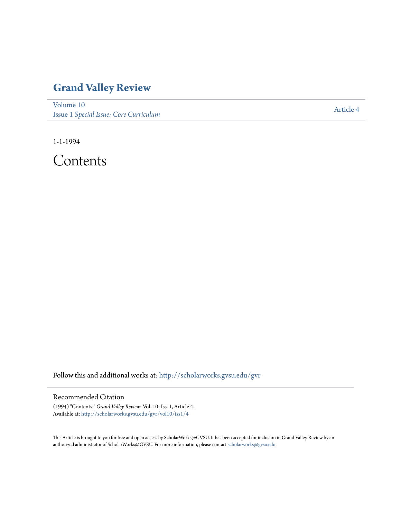## **[Grand Valley Review](http://scholarworks.gvsu.edu/gvr?utm_source=scholarworks.gvsu.edu%2Fgvr%2Fvol10%2Fiss1%2F4&utm_medium=PDF&utm_campaign=PDFCoverPages)**

[Volume 10](http://scholarworks.gvsu.edu/gvr/vol10?utm_source=scholarworks.gvsu.edu%2Fgvr%2Fvol10%2Fiss1%2F4&utm_medium=PDF&utm_campaign=PDFCoverPages) Issue 1 *[Special Issue: Core Curriculum](http://scholarworks.gvsu.edu/gvr/vol10/iss1?utm_source=scholarworks.gvsu.edu%2Fgvr%2Fvol10%2Fiss1%2F4&utm_medium=PDF&utm_campaign=PDFCoverPages)*

[Article 4](http://scholarworks.gvsu.edu/gvr/vol10/iss1/4?utm_source=scholarworks.gvsu.edu%2Fgvr%2Fvol10%2Fiss1%2F4&utm_medium=PDF&utm_campaign=PDFCoverPages)

1-1-1994

Contents

Follow this and additional works at: [http://scholarworks.gvsu.edu/gvr](http://scholarworks.gvsu.edu/gvr?utm_source=scholarworks.gvsu.edu%2Fgvr%2Fvol10%2Fiss1%2F4&utm_medium=PDF&utm_campaign=PDFCoverPages)

## Recommended Citation

(1994) "Contents," *Grand Valley Review*: Vol. 10: Iss. 1, Article 4. Available at: [http://scholarworks.gvsu.edu/gvr/vol10/iss1/4](http://scholarworks.gvsu.edu/gvr/vol10/iss1/4?utm_source=scholarworks.gvsu.edu%2Fgvr%2Fvol10%2Fiss1%2F4&utm_medium=PDF&utm_campaign=PDFCoverPages)

This Article is brought to you for free and open access by ScholarWorks@GVSU. It has been accepted for inclusion in Grand Valley Review by an authorized administrator of ScholarWorks@GVSU. For more information, please contact [scholarworks@gvsu.edu.](mailto:scholarworks@gvsu.edu)